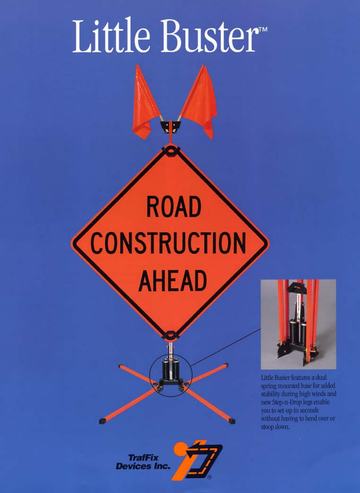# Little Buster

## **ROAD CONSTRUCTION AHEAD**



Little Buster features a dual spring mounted base for added stability during high winds and new Step-n-Drop legs enable you to set-up in seconds without having to bend over or stoop down.